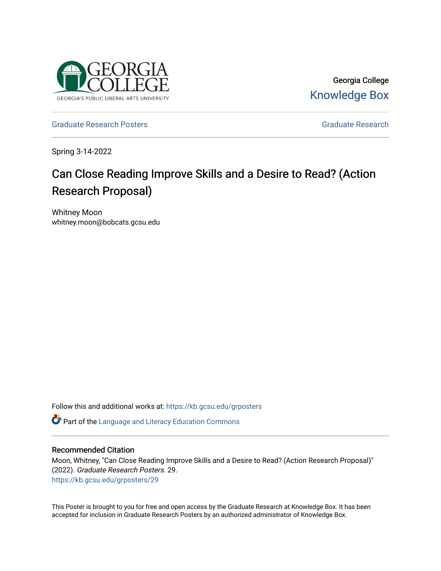

Georgia College [Knowledge Box](https://kb.gcsu.edu/) 

[Graduate Research Posters](https://kb.gcsu.edu/grposters) [Graduate Research](https://kb.gcsu.edu/gr) **Critical Critical Critical** Critical Critical Critical Critical Critical Critical Critical Critical Critical Critical Critical Critical Critical Critical Critical Critical Criti

Spring 3-14-2022

## Can Close Reading Improve Skills and a Desire to Read? (Action Research Proposal)

Whitney Moon whitney.moon@bobcats.gcsu.edu

Follow this and additional works at: [https://kb.gcsu.edu/grposters](https://kb.gcsu.edu/grposters?utm_source=kb.gcsu.edu%2Fgrposters%2F29&utm_medium=PDF&utm_campaign=PDFCoverPages) 

Part of the [Language and Literacy Education Commons](http://network.bepress.com/hgg/discipline/1380?utm_source=kb.gcsu.edu%2Fgrposters%2F29&utm_medium=PDF&utm_campaign=PDFCoverPages) 

## Recommended Citation

Moon, Whitney, "Can Close Reading Improve Skills and a Desire to Read? (Action Research Proposal)" (2022). Graduate Research Posters. 29. [https://kb.gcsu.edu/grposters/29](https://kb.gcsu.edu/grposters/29?utm_source=kb.gcsu.edu%2Fgrposters%2F29&utm_medium=PDF&utm_campaign=PDFCoverPages)

This Poster is brought to you for free and open access by the Graduate Research at Knowledge Box. It has been accepted for inclusion in Graduate Research Posters by an authorized administrator of Knowledge Box.